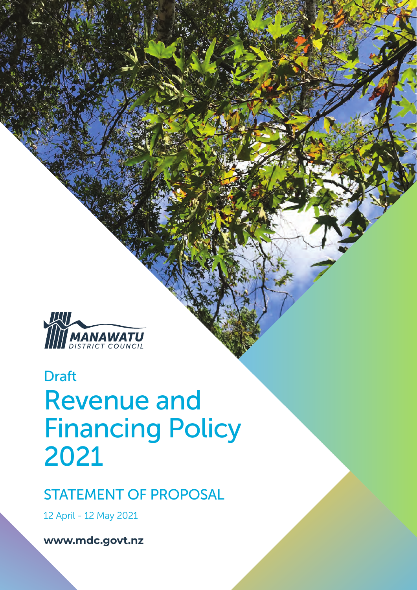

# Revenue and Financing Policy 2021 Draft

## STATEMENT OF PROPOSAL

12 April - 12 May 2021

**www.mdc.govt.nz**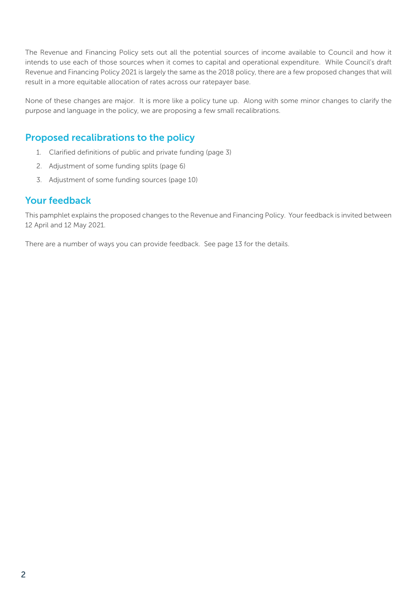The Revenue and Financing Policy sets out all the potential sources of income available to Council and how it intends to use each of those sources when it comes to capital and operational expenditure. While Council's draft Revenue and Financing Policy 2021 is largely the same as the 2018 policy, there are a few proposed changes that will result in a more equitable allocation of rates across our ratepayer base.

None of these changes are major. It is more like a policy tune up. Along with some minor changes to clarify the purpose and language in the policy, we are proposing a few small recalibrations.

#### Proposed recalibrations to the policy

- 1. Clarified definitions of public and private funding (page 3)
- 2. Adjustment of some funding splits (page 6)
- 3. Adjustment of some funding sources (page 10)

#### Your feedback

This pamphlet explains the proposed changes to the Revenue and Financing Policy. Your feedback is invited between 12 April and 12 May 2021.

There are a number of ways you can provide feedback. See page 13 for the details.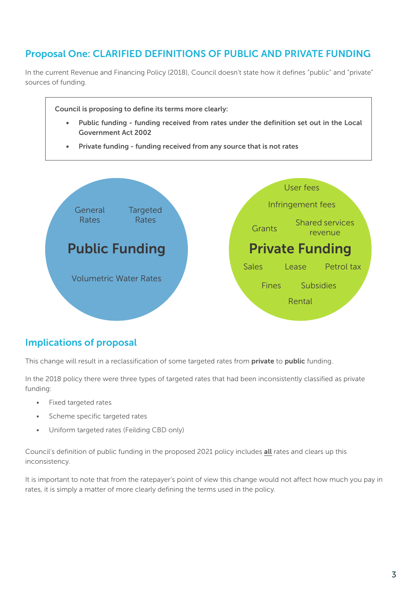### Proposal One: CLARIFIED DEFINITIONS OF PUBLIC AND PRIVATE FUNDING

In the current Revenue and Financing Policy (2018), Council doesn't state how it defines "public" and "private" sources of funding.



#### Implications of proposal

This change will result in a reclassification of some targeted rates from private to public funding.

In the 2018 policy there were three types of targeted rates that had been inconsistently classified as private funding:

- Fixed targeted rates
- Scheme specific targeted rates
- Uniform targeted rates (Feilding CBD only)

Council's definition of public funding in the proposed 2021 policy includes all rates and clears up this inconsistency.

It is important to note that from the ratepayer's point of view this change would not affect how much you pay in rates, it is simply a matter of more clearly defining the terms used in the policy.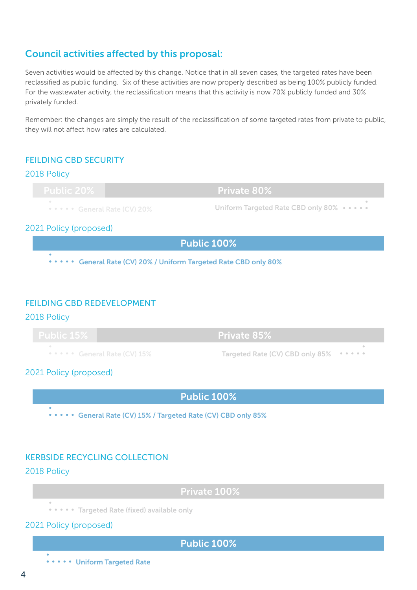#### Council activities affected by this proposal:

Seven activities would be affected by this change. Notice that in all seven cases, the targeted rates have been reclassified as public funding. Six of these activities are now properly described as being 100% publicly funded. For the wastewater activity, the reclassification means that this activity is now 70% publicly funded and 30% privately funded.

Remember: the changes are simply the result of the reclassification of some targeted rates from private to public, they will not affect how rates are calculated.

#### FEILDING CBD SECURITY

#### 2018 Policy

**••••• General Rate (CV) 20%** Private 80% Uniform Targeted Rate CBD only 80% •••••

#### 2021 Policy (proposed)

Public 100% **.....** General Rate (CV) 20% / Uniform Targeted Rate CBD only 80%

#### FEILDING CBD REDEVELOPMENT

2018 Policy

| $P = \begin{bmatrix} 1 & 1 \\ 2 & 3 \end{bmatrix}$<br><b>PUDIIC IDZO</b> | <b>Private 85%</b>                                                    |  |
|--------------------------------------------------------------------------|-----------------------------------------------------------------------|--|
|                                                                          | Targeted Rate (CV) CBD only 85%<br><b>COMPANY Confidence (CV) 15%</b> |  |

2021 Policy (proposed)

Public 100%

••••• General Rate (CV) 15% / Targeted Rate (CV) CBD only 85%

#### KERBSIDE RECYCLING COLLECTION

#### 2018 Policy

Private 100%

\* \* \* \* \* Targeted Rate (fixed) available only

2021 Policy (proposed)

#### Public 100%

**....** Uniform Targeted Rate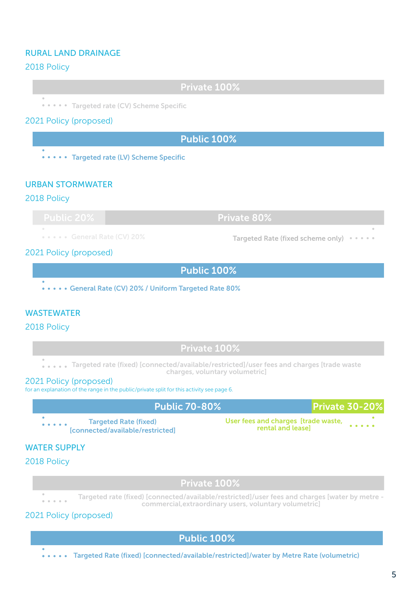#### RURAL LAND DRAINAGE

#### 2018 Policy

Private 100%

••••• Targeted rate (CV) Scheme Specific

#### 2021 Policy (proposed)

Public 100%

\* \* \* \* \* Targeted rate (LV) Scheme Specific

#### URBAN STORMWATER

#### 2018 Policy

Public 20% Public 20% Private 80%

**.....** General Rate (CV) 20%

Targeted Rate (fixed scheme only) • •

#### 2021 Policy (proposed)

Public 100%

**.....General Rate (CV) 20% / Uniform Targeted Rate 80%** 

#### WASTEWATER

#### 2018 Policy

Private 100%

.... Targeted rate (fixed) [connected/available/restricted]/user fees and charges [trade waste charges, voluntary volumetric]

#### 2021 Policy (proposed)

for an explanation of the range in the public/private split for this activity see page 6.

| <b>Public 70-80%</b>                                             |                                                          | <b>Private 30-20%</b>                                                                                                        |
|------------------------------------------------------------------|----------------------------------------------------------|------------------------------------------------------------------------------------------------------------------------------|
| <b>Targeted Rate (fixed)</b><br>[connected/available/restricted] | User fees and charges [trade waste,<br>rental and lease] | $\begin{array}{ccccccccccccccccc} \bullet & \bullet & \bullet & \bullet & \bullet & \bullet & \bullet & \bullet \end{array}$ |

#### WATER SUPPLY

#### 2018 Policy

Private 100%

Targeted rate (fixed) [connected/available/restricted]/user fees and charges [water by metre commercial,extraordinary users, voluntary volumetric]

#### 2021 Policy (proposed)

Public 100%

Targeted Rate (fixed) [connected/available/restricted]/water by Metre Rate (volumetric)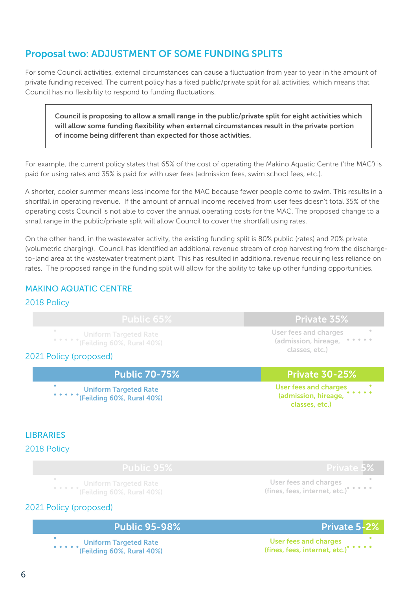### Proposal two: ADJUSTMENT OF SOME FUNDING SPLITS

For some Council activities, external circumstances can cause a fluctuation from year to year in the amount of private funding received. The current policy has a fixed public/private split for all activities, which means that Council has no flexibility to respond to funding fluctuations.

Council is proposing to allow a small range in the public/private split for eight activities which will allow some funding flexibility when external circumstances result in the private portion of income being different than expected for those activities.

For example, the current policy states that 65% of the cost of operating the Makino Aquatic Centre ('the MAC') is paid for using rates and 35% is paid for with user fees (admission fees, swim school fees, etc.).

A shorter, cooler summer means less income for the MAC because fewer people come to swim. This results in a shortfall in operating revenue. If the amount of annual income received from user fees doesn't total 35% of the operating costs Council is not able to cover the annual operating costs for the MAC. The proposed change to a small range in the public/private split will allow Council to cover the shortfall using rates.

On the other hand, in the wastewater activity, the existing funding split is 80% public (rates) and 20% private (volumetric charging). Council has identified an additional revenue stream of crop harvesting from the dischargeto-land area at the wastewater treatment plant. This has resulted in additional revenue requiring less reliance on rates. The proposed range in the funding split will allow for the ability to take up other funding opportunities.

#### MAKINO AQUATIC CENTRE

#### 2018 Policy

| <b>Public 65%</b>                                                                         | <b>Private 35%</b>                                                                        |
|-------------------------------------------------------------------------------------------|-------------------------------------------------------------------------------------------|
| $\qquad \qquad \Box$<br><b>Uniform Targeted Rate</b><br>***** * (Feilding 60%, Rural 40%) | $\qquad \qquad \oplus$<br>User fees and charges<br>(admission, hireage,<br>classes, etc.) |
| 2021 Policy (proposed)                                                                    |                                                                                           |
| <b>Public 70-75%</b>                                                                      | <b>Private 30-25%</b>                                                                     |
|                                                                                           |                                                                                           |
| $\bullet$<br><b>Uniform Targeted Rate</b><br>(Feilding 60%, Rural 40%)                    | <b>User fees and charges</b><br>(admission, hireage,<br>classes, etc.)                    |

#### **LIBRARIES**

2018 Policy

(Feilding 60%, Rural 40%)

#### 2021 Policy (proposed)

#### Public 95-98% Public 95-98% Private 5-2%

Uniform Targeted Rate (Feilding 60%, Rural 40%)

User fees and charges (fines, fees, internet, etc.)

User fees and charges (fines, fees, internet, etc.)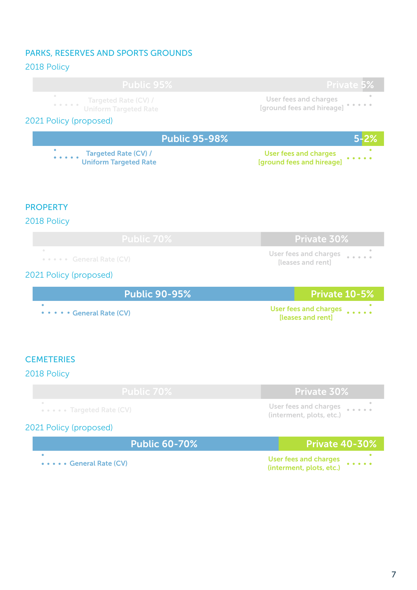#### PARKS, RESERVES AND SPORTS GROUNDS

| 2018 Policy                                                                                                  |                                                                           |
|--------------------------------------------------------------------------------------------------------------|---------------------------------------------------------------------------|
| <b>Public 95%</b>                                                                                            | <b>Private 5%</b>                                                         |
| Targeted Rate (CV) /<br>$\alpha$ , $\alpha$ , $\alpha$ , $\alpha$ , $\alpha$<br><b>Uniform Targeted Rate</b> | <b>User fees and charges</b><br>[ground fees and hireage]                 |
| 2021 Policy (proposed)                                                                                       |                                                                           |
| <b>Public 95-98%</b>                                                                                         |                                                                           |
| <b>Targeted Rate (CV) /</b><br><b>Uniform Targeted Rate</b>                                                  | <b>User fees and charges</b><br>[ground fees and hireage]                 |
| <b>PROPERTY</b>                                                                                              |                                                                           |
| 2018 Policy                                                                                                  |                                                                           |
| <b>Public 70%</b>                                                                                            | Private 30%                                                               |
| ••••• General Rate (CV)                                                                                      | <b>User fees and charges</b><br>[leases and rent]                         |
| 2021 Policy (proposed)                                                                                       |                                                                           |
| <b>Public 90-95%</b>                                                                                         | Private 10-5%                                                             |
| <b>General Rate (CV)</b>                                                                                     | <b>User fees and charges</b><br>[leases and rent]                         |
| <b>CEMETERIES</b><br>2018 Policy                                                                             |                                                                           |
| <b>Public 70%</b>                                                                                            | <b>Private 30%</b>                                                        |
| Targeted Rate (CV)                                                                                           | <b>User fees and charges</b><br>$\frac{1}{2}$<br>(interment, plots, etc.) |
| 2021 Policy (proposed)                                                                                       |                                                                           |
| <b>Public 60-70%</b>                                                                                         | <b>Private 40-30%</b>                                                     |
| • General Rate (CV)                                                                                          | <b>User fees and charges</b><br>(interment, plots, etc.)                  |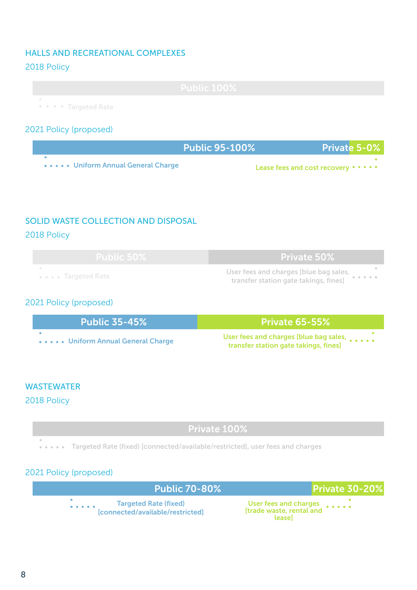#### HALLS AND RECREATIONAL COMPLEXES

#### 2018 Policy

|                                   | $\mathbf{L}$ . $\mathbf{L}$ $\mathbf{L}$ $\mathbf{L}$ $\mathbf{L}$ $\mathbf{A}$ $\mathbf{\Omega}$<br><b>FUDIIC LUU/0</b> |
|-----------------------------------|--------------------------------------------------------------------------------------------------------------------------|
|                                   |                                                                                                                          |
| <b>Allen Strate Targeted Rate</b> |                                                                                                                          |

#### 2021 Policy (proposed)

|                                     | Public 95-100% | <b>Private 5-0%</b>                    |
|-------------------------------------|----------------|----------------------------------------|
| ••••• Uniform Annual General Charge |                | Lease fees and cost recovery • • • • • |

#### SOLID WASTE COLLECTION AND DISPOSAL

#### 2018 Policy

Public 50% **Public 50%** Private 50% Targeted Rate User fees and charges [blue bag sales, transfer station gate takings, fines]

#### 2021 Policy (proposed)

| Public 35-45% <b>Public 35</b> | <b>Private 65-55%</b>                                                                    |
|--------------------------------|------------------------------------------------------------------------------------------|
| Uniform Annual General Charge  | User fees and charges [blue bag sales, entirely<br>transfer station gate takings, fines] |

#### **WASTEWATER**

2018 Policy

#### Private 100%

Targeted Rate (fixed) [connected/available/restricted], user fees and charges

#### 2021 Policy (proposed)

|                                                                                                                 | <b>Public 70-80%</b>                                             | <b>Private 30-20%</b>                                       |
|-----------------------------------------------------------------------------------------------------------------|------------------------------------------------------------------|-------------------------------------------------------------|
| $\begin{array}{cccccccccccccc} \bullet & \bullet & \bullet & \bullet & \bullet & \bullet & \bullet \end{array}$ | <b>Targeted Rate (fixed)</b><br>[connected/available/restricted] | User fees and charges<br>[trade waste, rental and<br>leasel |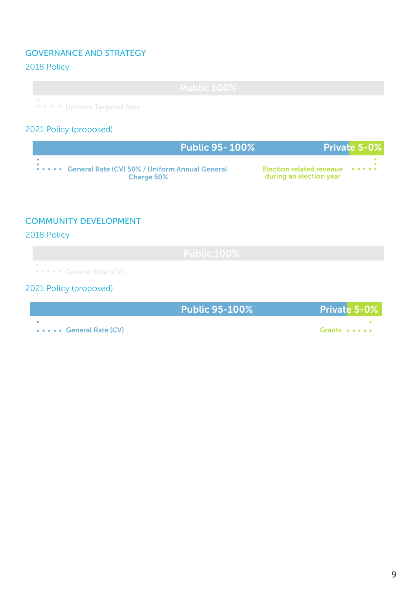#### GOVERNANCE AND STRATEGY

#### 2018 Policy

• • • • Uniform Targeted Rate

#### 2021 Policy (proposed)

| <b>Public 95-100%</b>                                                     |                                                            | Private 5-0% |
|---------------------------------------------------------------------------|------------------------------------------------------------|--------------|
| ••••• General Rate (CV) 50% / Uniform Annual General<br><b>Charge 50%</b> | Election related revenue ••••••<br>during an election year |              |

#### COMMUNITY DEVELOPMENT

#### 2018 Policy

**•••••** General Rate (CV)

#### 2021 Policy (proposed)

|                          | <b>Public 95-100%</b> | <b>Private 5-0%</b> |
|--------------------------|-----------------------|---------------------|
| •••••• General Rate (CV) |                       | Grants •••••        |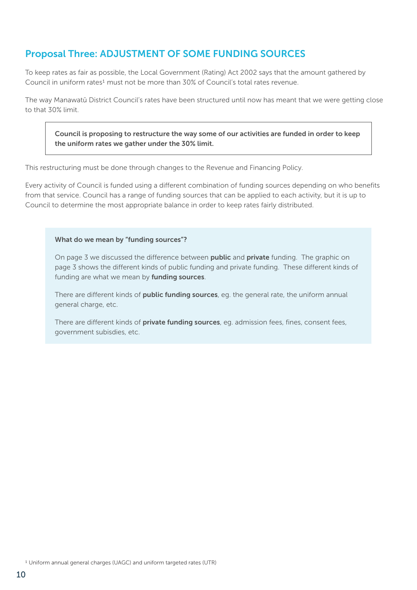#### Proposal Three: ADJUSTMENT OF SOME FUNDING SOURCES

To keep rates as fair as possible, the Local Government (Rating) Act 2002 says that the amount gathered by Council in uniform rates<sup>1</sup> must not be more than 30% of Council's total rates revenue.

The way Manawatū District Council's rates have been structured until now has meant that we were getting close to that 30% limit.

Council is proposing to restructure the way some of our activities are funded in order to keep the uniform rates we gather under the 30% limit.

This restructuring must be done through changes to the Revenue and Financing Policy.

Every activity of Council is funded using a different combination of funding sources depending on who benefits from that service. Council has a range of funding sources that can be applied to each activity, but it is up to Council to determine the most appropriate balance in order to keep rates fairly distributed.

#### What do we mean by "funding sources"?

On page 3 we discussed the difference between **public** and **private** funding. The graphic on page 3 shows the different kinds of public funding and private funding. These different kinds of funding are what we mean by funding sources.

There are different kinds of public funding sources, eg. the general rate, the uniform annual general charge, etc.

There are different kinds of **private funding sources**, eq. admission fees, fines, consent fees, government subisdies, etc.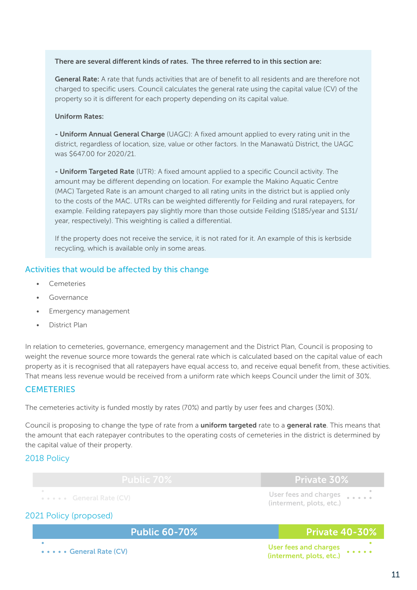#### There are several different kinds of rates. The three referred to in this section are:

General Rate: A rate that funds activities that are of benefit to all residents and are therefore not charged to specific users. Council calculates the general rate using the capital value (CV) of the property so it is different for each property depending on its capital value.

#### Uniform Rates:

- Uniform Annual General Charge (UAGC): A fixed amount applied to every rating unit in the district, regardless of location, size, value or other factors. In the Manawatū District, the UAGC was \$647.00 for 2020/21.

- Uniform Targeted Rate (UTR): A fixed amount applied to a specific Council activity. The amount may be different depending on location. For example the Makino Aquatic Centre (MAC) Targeted Rate is an amount charged to all rating units in the district but is applied only to the costs of the MAC. UTRs can be weighted differently for Feilding and rural ratepayers, for example. Feilding ratepayers pay slightly more than those outside Feilding (\$185/year and \$131/ year, respectively). This weighting is called a differential.

If the property does not receive the service, it is not rated for it. An example of this is kerbside recycling, which is available only in some areas.

#### Activities that would be affected by this change

- **Cemeteries**
- **Governance**
- Emergency management
- District Plan

In relation to cemeteries, governance, emergency management and the District Plan, Council is proposing to weight the revenue source more towards the general rate which is calculated based on the capital value of each property as it is recognised that all ratepayers have equal access to, and receive equal benefit from, these activities. That means less revenue would be received from a uniform rate which keeps Council under the limit of 30%.

#### **CEMETERIES**

The cemeteries activity is funded mostly by rates (70%) and partly by user fees and charges (30%).

Council is proposing to change the type of rate from a **uniform targeted** rate to a general rate. This means that the amount that each ratepayer contributes to the operating costs of cemeteries in the district is determined by the capital value of their property.

#### 2018 Policy

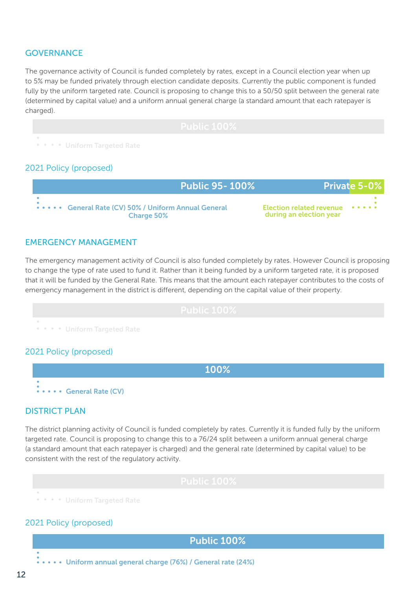#### **GOVERNANCE**

The governance activity of Council is funded completely by rates, except in a Council election year when up to 5% may be funded privately through election candidate deposits. Currently the public component is funded fully by the uniform targeted rate. Council is proposing to change this to a 50/50 split between the general rate (determined by capital value) and a uniform annual general charge (a standard amount that each ratepayer is charged).

|                                        | D.H.H. A O O<br>$T$ counce to $\sim$ . |
|----------------------------------------|----------------------------------------|
| <b>Allectric Control Targeted Rate</b> |                                        |

#### 2021 Policy (proposed)

| <b>Public 95-100%</b>                                               | <b>Private 5-0%</b>                                        |
|---------------------------------------------------------------------|------------------------------------------------------------|
| General Rate (CV) 50% / Uniform Annual General<br><b>Charge 50%</b> | <b>Election related revenue</b><br>during an election year |

#### EMERGENCY MANAGEMENT

The emergency management activity of Council is also funded completely by rates. However Council is proposing to change the type of rate used to fund it. Rather than it being funded by a uniform targeted rate, it is proposed that it will be funded by the General Rate. This means that the amount each ratepayer contributes to the costs of emergency management in the district is different, depending on the capital value of their property.



#### 2021 Policy (proposed)

100% **...** General Rate (CV)

#### DISTRICT PLAN

The district planning activity of Council is funded completely by rates. Currently it is funded fully by the uniform targeted rate. Council is proposing to change this to a 76/24 split between a uniform annual general charge (a standard amount that each ratepayer is charged) and the general rate (determined by capital value) to be consistent with the rest of the regulatory activity.

**• • • Uniform Targeted Rate** 

#### 2021 Policy (proposed)

Public 100%

 $\cdots$   $\cdots$  Uniform annual general charge (76%) / General rate (24%)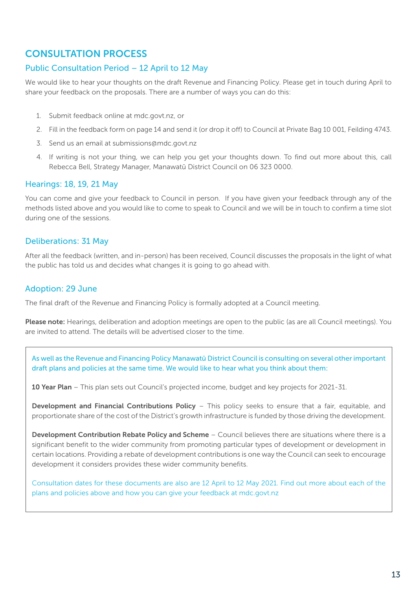#### CONSULTATION PROCESS

#### Public Consultation Period – 12 April to 12 May

We would like to hear your thoughts on the draft Revenue and Financing Policy. Please get in touch during April to share your feedback on the proposals. There are a number of ways you can do this:

- 1. Submit feedback online at mdc.govt.nz, or
- 2. Fill in the feedback form on page 14 and send it (or drop it off) to Council at Private Bag 10 001, Feilding 4743.
- 3. Send us an email at submissions@mdc.govt.nz
- 4. If writing is not your thing, we can help you get your thoughts down. To find out more about this, call Rebecca Bell, Strategy Manager, Manawatū District Council on 06 323 0000.

#### Hearings: 18, 19, 21 May

You can come and give your feedback to Council in person. If you have given your feedback through any of the methods listed above and you would like to come to speak to Council and we will be in touch to confirm a time slot during one of the sessions.

#### Deliberations: 31 May

After all the feedback (written, and in-person) has been received, Council discusses the proposals in the light of what the public has told us and decides what changes it is going to go ahead with.

#### Adoption: 29 June

The final draft of the Revenue and Financing Policy is formally adopted at a Council meeting.

Please note: Hearings, deliberation and adoption meetings are open to the public (as are all Council meetings). You are invited to attend. The details will be advertised closer to the time.

As well as the Revenue and Financing Policy Manawatū District Council is consulting on several other important draft plans and policies at the same time. We would like to hear what you think about them:

10 Year Plan – This plan sets out Council's projected income, budget and key projects for 2021-31.

Development and Financial Contributions Policy – This policy seeks to ensure that a fair, equitable, and proportionate share of the cost of the District's growth infrastructure is funded by those driving the development.

Development Contribution Rebate Policy and Scheme – Council believes there are situations where there is a significant benefit to the wider community from promoting particular types of development or development in certain locations. Providing a rebate of development contributions is one way the Council can seek to encourage development it considers provides these wider community benefits.

Consultation dates for these documents are also are 12 April to 12 May 2021. Find out more about each of the plans and policies above and how you can give your feedback at mdc.govt.nz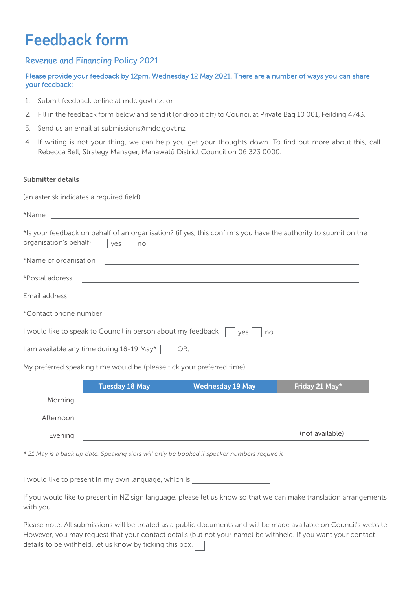## Feedback form

#### Revenue and Financing Policy 2021

#### Please provide your feedback by 12pm, Wednesday 12 May 2021. There are a number of ways you can share your feedback:

- 1. Submit feedback online at mdc.govt.nz, or
- 2. Fill in the feedback form below and send it (or drop it off) to Council at Private Bag 10 001, Feilding 4743.
- 3. Send us an email at submissions@mdc.govt.nz
- Rebecca Bell, Strategy Manager, Manawatū District Council on 06 323 0000. 4. If writing is not your thing, we can help you get your thoughts down. To find out more about this, call

#### Submitter details

(an asterisk indicates a required field)

| *Name                                                                                                                                                 |
|-------------------------------------------------------------------------------------------------------------------------------------------------------|
| *Is your feedback on behalf of an organisation? (if yes, this confirms you have the authority to submit on the<br>organisation's behalf)<br>yes<br>no |
| *Name of organisation                                                                                                                                 |
| *Postal address                                                                                                                                       |
| Email address                                                                                                                                         |
| *Contact phone number                                                                                                                                 |
| I would like to speak to Council in person about my feedback<br>ves<br>no                                                                             |
| 1 am available any time during 18-19 May*  <br>OR,                                                                                                    |

My preferred speaking time would be (please tick your preferred time)

|           | <b>Tuesday 18 May</b> | <b>Wednesday 19 May</b> | Friday 21 May*  |
|-----------|-----------------------|-------------------------|-----------------|
| Morning   |                       |                         |                 |
| Afternoon |                       |                         |                 |
| Evening   |                       |                         | (not available) |

*\* 21 May is a back up date. Speaking slots will only be booked if speaker numbers require it*

I would like to present in my own language, which is

If you would like to present in NZ sign language, please let us know so that we can make translation arrangements with you.

Please note: All submissions will be treated as a public documents and will be made available on Council's website. However, you may request that your contact details (but not your name) be withheld. If you want your contact details to be withheld, let us know by ticking this box.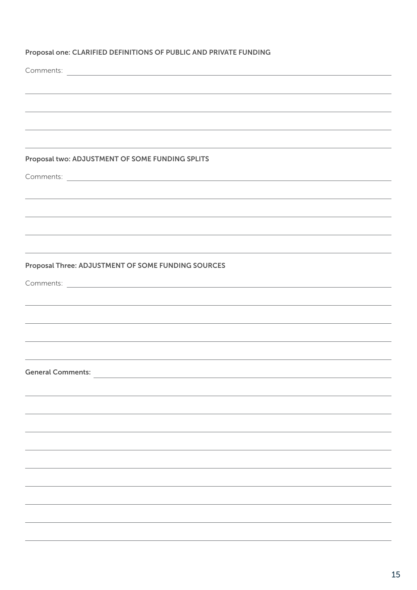#### Proposal one: CLARIFIED DEFINITIONS OF PUBLIC AND PRIVATE FUNDING

Comments:

#### Proposal two: ADJUSTMENT OF SOME FUNDING SPLITS

Comments:

#### Proposal Three: ADJUSTMENT OF SOME FUNDING SOURCES

Comments:

General Comments: